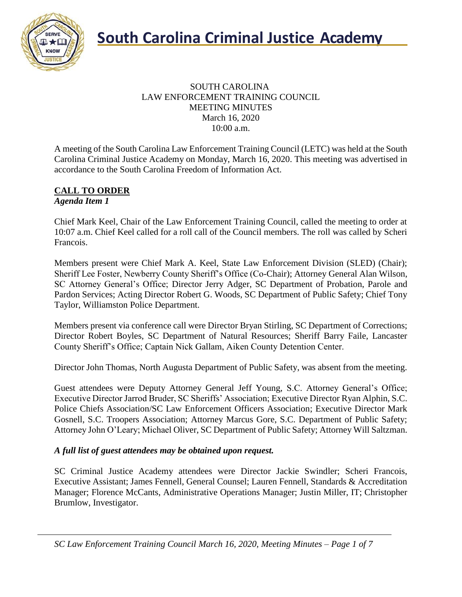

#### SOUTH CAROLINA LAW ENFORCEMENT TRAINING COUNCIL MEETING MINUTES March 16, 2020 10:00 a.m.

A meeting of the South Carolina Law Enforcement Training Council (LETC) was held at the South Carolina Criminal Justice Academy on Monday, March 16, 2020. This meeting was advertised in accordance to the South Carolina Freedom of Information Act.

#### **CALL TO ORDER** *Agenda Item 1*

Chief Mark Keel, Chair of the Law Enforcement Training Council, called the meeting to order at 10:07 a.m. Chief Keel called for a roll call of the Council members. The roll was called by Scheri Francois.

Members present were Chief Mark A. Keel, State Law Enforcement Division (SLED) (Chair); Sheriff Lee Foster, Newberry County Sheriff's Office (Co-Chair); Attorney General Alan Wilson, SC Attorney General's Office; Director Jerry Adger, SC Department of Probation, Parole and Pardon Services; Acting Director Robert G. Woods, SC Department of Public Safety; Chief Tony Taylor, Williamston Police Department.

Members present via conference call were Director Bryan Stirling, SC Department of Corrections; Director Robert Boyles, SC Department of Natural Resources; Sheriff Barry Faile, Lancaster County Sheriff's Office; Captain Nick Gallam, Aiken County Detention Center.

Director John Thomas, North Augusta Department of Public Safety, was absent from the meeting.

Guest attendees were Deputy Attorney General Jeff Young, S.C. Attorney General's Office; Executive Director Jarrod Bruder, SC Sheriffs' Association; Executive Director Ryan Alphin, S.C. Police Chiefs Association/SC Law Enforcement Officers Association; Executive Director Mark Gosnell, S.C. Troopers Association; Attorney Marcus Gore, S.C. Department of Public Safety; Attorney John O'Leary; Michael Oliver, SC Department of Public Safety; Attorney Will Saltzman.

#### *A full list of guest attendees may be obtained upon request.*

SC Criminal Justice Academy attendees were Director Jackie Swindler; Scheri Francois, Executive Assistant; James Fennell, General Counsel; Lauren Fennell, Standards & Accreditation Manager; Florence McCants, Administrative Operations Manager; Justin Miller, IT; Christopher Brumlow, Investigator.

*SC Law Enforcement Training Council March 16, 2020, Meeting Minutes – Page 1 of 7*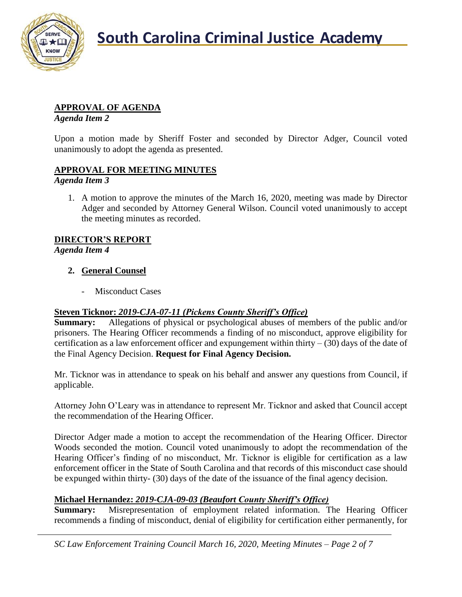

# **APPROVAL OF AGENDA**

*Agenda Item 2*

Upon a motion made by Sheriff Foster and seconded by Director Adger, Council voted unanimously to adopt the agenda as presented.

### **APPROVAL FOR MEETING MINUTES**

*Agenda Item 3*

1. A motion to approve the minutes of the March 16, 2020, meeting was made by Director Adger and seconded by Attorney General Wilson. Council voted unanimously to accept the meeting minutes as recorded.

# **DIRECTOR'S REPORT**

*Agenda Item 4*

- **2. General Counsel**
	- Misconduct Cases

# **Steven Ticknor:** *2019-CJA-07-11 (Pickens County Sheriff's Office)*

**Summary:** Allegations of physical or psychological abuses of members of the public and/or prisoners. The Hearing Officer recommends a finding of no misconduct, approve eligibility for certification as a law enforcement officer and expungement within thirty  $- (30)$  days of the date of the Final Agency Decision. **Request for Final Agency Decision.**

Mr. Ticknor was in attendance to speak on his behalf and answer any questions from Council, if applicable.

Attorney John O'Leary was in attendance to represent Mr. Ticknor and asked that Council accept the recommendation of the Hearing Officer.

Director Adger made a motion to accept the recommendation of the Hearing Officer. Director Woods seconded the motion. Council voted unanimously to adopt the recommendation of the Hearing Officer's finding of no misconduct, Mr. Ticknor is eligible for certification as a law enforcement officer in the State of South Carolina and that records of this misconduct case should be expunged within thirty- (30) days of the date of the issuance of the final agency decision.

#### **Michael Hernandez:** *2019-CJA-09-03 (Beaufort County Sheriff's Office)*

**Summary:** Misrepresentation of employment related information. The Hearing Officer recommends a finding of misconduct, denial of eligibility for certification either permanently, for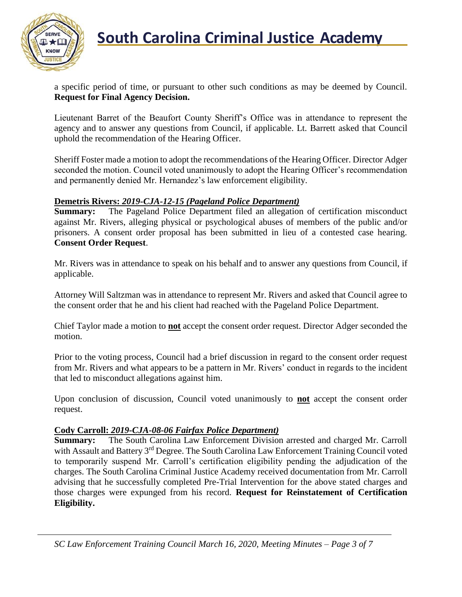

a specific period of time, or pursuant to other such conditions as may be deemed by Council. **Request for Final Agency Decision.**

Lieutenant Barret of the Beaufort County Sheriff's Office was in attendance to represent the agency and to answer any questions from Council, if applicable. Lt. Barrett asked that Council uphold the recommendation of the Hearing Officer.

Sheriff Foster made a motion to adopt the recommendations of the Hearing Officer. Director Adger seconded the motion. Council voted unanimously to adopt the Hearing Officer's recommendation and permanently denied Mr. Hernandez's law enforcement eligibility.

#### **Demetris Rivers:** *2019-CJA-12-15 (Pageland Police Department)*

**Summary:** The Pageland Police Department filed an allegation of certification misconduct against Mr. Rivers, alleging physical or psychological abuses of members of the public and/or prisoners. A consent order proposal has been submitted in lieu of a contested case hearing. **Consent Order Request**.

Mr. Rivers was in attendance to speak on his behalf and to answer any questions from Council, if applicable.

Attorney Will Saltzman was in attendance to represent Mr. Rivers and asked that Council agree to the consent order that he and his client had reached with the Pageland Police Department.

Chief Taylor made a motion to **not** accept the consent order request. Director Adger seconded the motion.

Prior to the voting process, Council had a brief discussion in regard to the consent order request from Mr. Rivers and what appears to be a pattern in Mr. Rivers' conduct in regards to the incident that led to misconduct allegations against him.

Upon conclusion of discussion, Council voted unanimously to **not** accept the consent order request.

#### **Cody Carroll:** *2019-CJA-08-06 Fairfax Police Department)*

**Summary:** The South Carolina Law Enforcement Division arrested and charged Mr. Carroll with Assault and Battery 3<sup>rd</sup> Degree. The South Carolina Law Enforcement Training Council voted to temporarily suspend Mr. Carroll's certification eligibility pending the adjudication of the charges. The South Carolina Criminal Justice Academy received documentation from Mr. Carroll advising that he successfully completed Pre-Trial Intervention for the above stated charges and those charges were expunged from his record. **Request for Reinstatement of Certification Eligibility.**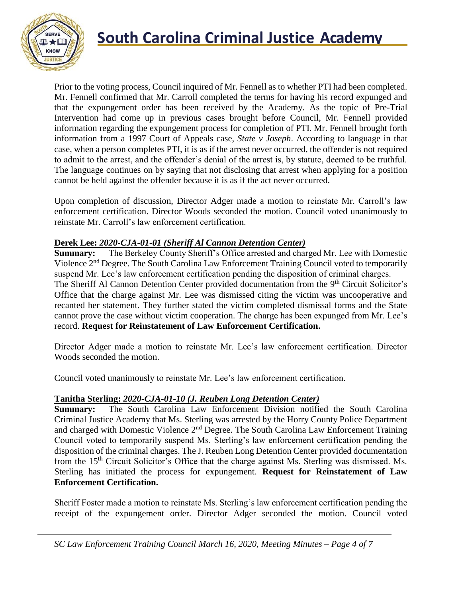

Prior to the voting process, Council inquired of Mr. Fennell as to whether PTI had been completed. Mr. Fennell confirmed that Mr. Carroll completed the terms for having his record expunged and that the expungement order has been received by the Academy. As the topic of Pre-Trial Intervention had come up in previous cases brought before Council, Mr. Fennell provided information regarding the expungement process for completion of PTI. Mr. Fennell brought forth information from a 1997 Court of Appeals case, *State v Joseph*. According to language in that case, when a person completes PTI, it is as if the arrest never occurred, the offender is not required to admit to the arrest, and the offender's denial of the arrest is, by statute, deemed to be truthful. The language continues on by saying that not disclosing that arrest when applying for a position cannot be held against the offender because it is as if the act never occurred.

Upon completion of discussion, Director Adger made a motion to reinstate Mr. Carroll's law enforcement certification. Director Woods seconded the motion. Council voted unanimously to reinstate Mr. Carroll's law enforcement certification.

#### **Derek Lee:** *2020-CJA-01-01 (Sheriff Al Cannon Detention Center)*

**Summary:** The Berkeley County Sheriff's Office arrested and charged Mr. Lee with Domestic Violence 2nd Degree. The South Carolina Law Enforcement Training Council voted to temporarily suspend Mr. Lee's law enforcement certification pending the disposition of criminal charges. The Sheriff Al Cannon Detention Center provided documentation from the 9<sup>th</sup> Circuit Solicitor's Office that the charge against Mr. Lee was dismissed citing the victim was uncooperative and recanted her statement. They further stated the victim completed dismissal forms and the State cannot prove the case without victim cooperation. The charge has been expunged from Mr. Lee's record. **Request for Reinstatement of Law Enforcement Certification.**

Director Adger made a motion to reinstate Mr. Lee's law enforcement certification. Director Woods seconded the motion.

Council voted unanimously to reinstate Mr. Lee's law enforcement certification.

#### **Tanitha Sterling:** *2020-CJA-01-10 (J. Reuben Long Detention Center)*

**Summary:** The South Carolina Law Enforcement Division notified the South Carolina Criminal Justice Academy that Ms. Sterling was arrested by the Horry County Police Department and charged with Domestic Violence 2nd Degree. The South Carolina Law Enforcement Training Council voted to temporarily suspend Ms. Sterling's law enforcement certification pending the disposition of the criminal charges. The J. Reuben Long Detention Center provided documentation from the 15th Circuit Solicitor's Office that the charge against Ms. Sterling was dismissed. Ms. Sterling has initiated the process for expungement. **Request for Reinstatement of Law Enforcement Certification.**

Sheriff Foster made a motion to reinstate Ms. Sterling's law enforcement certification pending the receipt of the expungement order. Director Adger seconded the motion. Council voted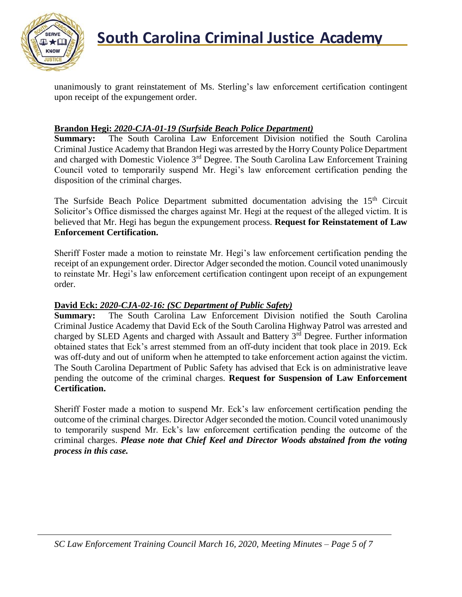

unanimously to grant reinstatement of Ms. Sterling's law enforcement certification contingent upon receipt of the expungement order.

#### **Brandon Hegi:** *2020-CJA-01-19 (Surfside Beach Police Department)*

**Summary:** The South Carolina Law Enforcement Division notified the South Carolina Criminal Justice Academy that Brandon Hegi was arrested by the Horry County Police Department and charged with Domestic Violence 3rd Degree. The South Carolina Law Enforcement Training Council voted to temporarily suspend Mr. Hegi's law enforcement certification pending the disposition of the criminal charges.

The Surfside Beach Police Department submitted documentation advising the 15<sup>th</sup> Circuit Solicitor's Office dismissed the charges against Mr. Hegi at the request of the alleged victim. It is believed that Mr. Hegi has begun the expungement process. **Request for Reinstatement of Law Enforcement Certification.**

Sheriff Foster made a motion to reinstate Mr. Hegi's law enforcement certification pending the receipt of an expungement order. Director Adger seconded the motion. Council voted unanimously to reinstate Mr. Hegi's law enforcement certification contingent upon receipt of an expungement order.

# **David Eck: 2020-CJA-02-16: (SC Department of Public Safety)**<br>**Summary:** The South Carolina Law Enforcement Division

The South Carolina Law Enforcement Division notified the South Carolina Criminal Justice Academy that David Eck of the South Carolina Highway Patrol was arrested and charged by SLED Agents and charged with Assault and Battery  $3<sup>rd</sup>$  Degree. Further information obtained states that Eck's arrest stemmed from an off-duty incident that took place in 2019. Eck was off-duty and out of uniform when he attempted to take enforcement action against the victim. The South Carolina Department of Public Safety has advised that Eck is on administrative leave pending the outcome of the criminal charges. **Request for Suspension of Law Enforcement Certification.**

Sheriff Foster made a motion to suspend Mr. Eck's law enforcement certification pending the outcome of the criminal charges. Director Adger seconded the motion. Council voted unanimously to temporarily suspend Mr. Eck's law enforcement certification pending the outcome of the criminal charges. *Please note that Chief Keel and Director Woods abstained from the voting process in this case.*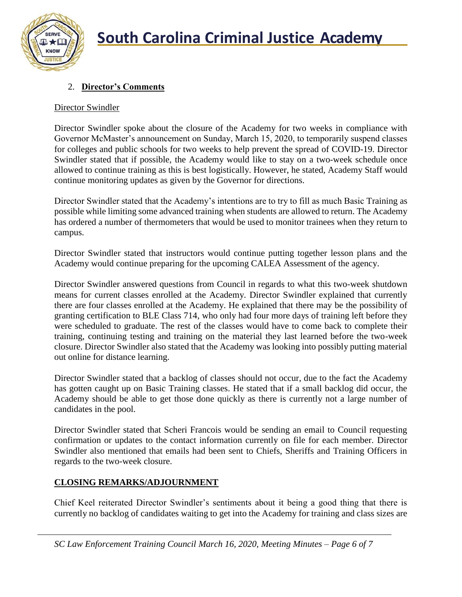

# 2. **Director's Comments**

#### Director Swindler

Director Swindler spoke about the closure of the Academy for two weeks in compliance with Governor McMaster's announcement on Sunday, March 15, 2020, to temporarily suspend classes for colleges and public schools for two weeks to help prevent the spread of COVID-19. Director Swindler stated that if possible, the Academy would like to stay on a two-week schedule once allowed to continue training as this is best logistically. However, he stated, Academy Staff would continue monitoring updates as given by the Governor for directions.

Director Swindler stated that the Academy's intentions are to try to fill as much Basic Training as possible while limiting some advanced training when students are allowed to return. The Academy has ordered a number of thermometers that would be used to monitor trainees when they return to campus.

Director Swindler stated that instructors would continue putting together lesson plans and the Academy would continue preparing for the upcoming CALEA Assessment of the agency.

Director Swindler answered questions from Council in regards to what this two-week shutdown means for current classes enrolled at the Academy. Director Swindler explained that currently there are four classes enrolled at the Academy. He explained that there may be the possibility of granting certification to BLE Class 714, who only had four more days of training left before they were scheduled to graduate. The rest of the classes would have to come back to complete their training, continuing testing and training on the material they last learned before the two-week closure. Director Swindler also stated that the Academy was looking into possibly putting material out online for distance learning.

Director Swindler stated that a backlog of classes should not occur, due to the fact the Academy has gotten caught up on Basic Training classes. He stated that if a small backlog did occur, the Academy should be able to get those done quickly as there is currently not a large number of candidates in the pool.

Director Swindler stated that Scheri Francois would be sending an email to Council requesting confirmation or updates to the contact information currently on file for each member. Director Swindler also mentioned that emails had been sent to Chiefs, Sheriffs and Training Officers in regards to the two-week closure.

#### **CLOSING REMARKS/ADJOURNMENT**

Chief Keel reiterated Director Swindler's sentiments about it being a good thing that there is currently no backlog of candidates waiting to get into the Academy for training and class sizes are

*SC Law Enforcement Training Council March 16, 2020, Meeting Minutes – Page 6 of 7*